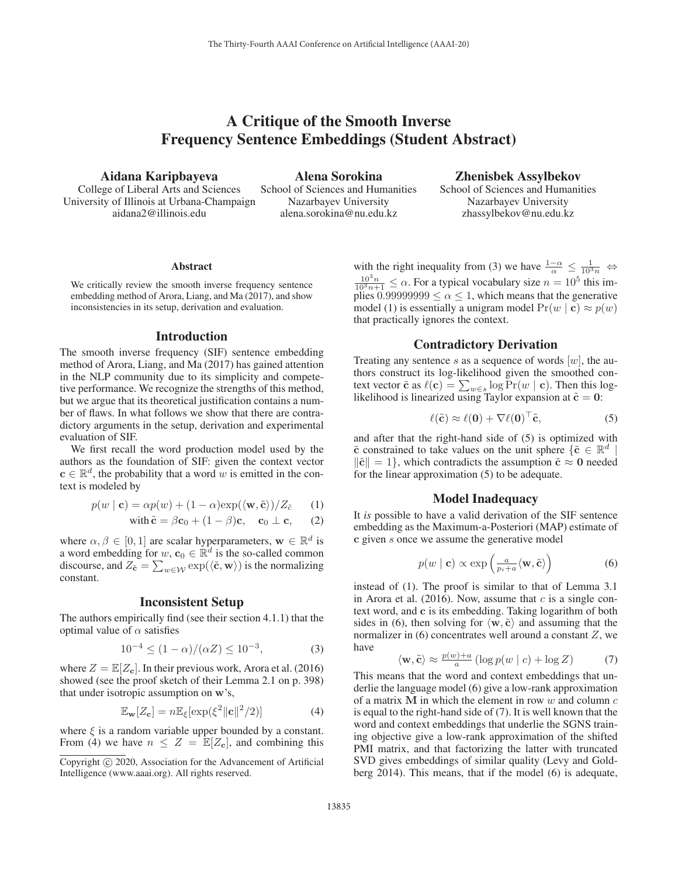# A Critique of the Smooth Inverse Frequency Sentence Embeddings (Student Abstract)

Aidana Karipbayeva

College of Liberal Arts and Sciences University of Illinois at Urbana-Champaign aidana2@illinois.edu

Alena Sorokina

School of Sciences and Humanities Nazarbayev University alena.sorokina@nu.edu.kz

Zhenisbek Assylbekov School of Sciences and Humanities Nazarbayev University zhassylbekov@nu.edu.kz

#### Abstract

We critically review the smooth inverse frequency sentence embedding method of Arora, Liang, and Ma (2017), and show inconsistencies in its setup, derivation and evaluation.

#### Introduction

The smooth inverse frequency (SIF) sentence embedding method of Arora, Liang, and Ma (2017) has gained attention in the NLP community due to its simplicity and competetive performance. We recognize the strengths of this method, but we argue that its theoretical justification contains a number of flaws. In what follows we show that there are contradictory arguments in the setup, derivation and experimental evaluation of SIF.

We first recall the word production model used by the authors as the foundation of SIF: given the context vector  $\mathbf{c} \in \mathbb{R}^d$ , the probability that a word w is emitted in the context is modeled by

$$
p(w \mid \mathbf{c}) = \alpha p(w) + (1 - \alpha) \exp(\langle \mathbf{w}, \tilde{\mathbf{c}} \rangle) / Z_{\tilde{c}} \tag{1}
$$

with 
$$
\tilde{\mathbf{c}} = \beta \mathbf{c}_0 + (1 - \beta)\mathbf{c}
$$
,  $\mathbf{c}_0 \perp \mathbf{c}$ , (2)

where  $\alpha, \beta \in [0, 1]$  are scalar hyperparameters,  $\mathbf{w} \in \mathbb{R}^d$  is a word embedding for  $w, c_0 \in \mathbb{R}^d$  is the so-called common discourse, and  $Z_{\tilde{\mathbf{c}}} = \sum_{w \in \mathcal{W}} \exp(\langle \tilde{\mathbf{c}}, \mathbf{w} \rangle)$  is the normalizing constant constant.

### Inconsistent Setup

The authors empirically find (see their section 4.1.1) that the optimal value of  $\alpha$  satisfies

$$
10^{-4} \le (1 - \alpha) / (\alpha Z) \le 10^{-3},\tag{3}
$$

where  $Z = \mathbb{E}[Z_c]$ . In their previous work, Arora et al. (2016) showed (see the proof sketch of their Lemma 2.1 on p. 398) that under isotropic assumption on **w**'s,

$$
\mathbb{E}_{\mathbf{w}}[Z_{\mathbf{c}}] = n \mathbb{E}_{\xi}[\exp(\xi^2 \|\mathbf{c}\|^2/2)] \tag{4}
$$

where  $\xi$  is a random variable upper bounded by a constant. From (4) we have  $n \leq Z = \mathbb{E}[Z_c]$ , and combining this

with the right inequality from (3) we have  $\frac{1-\alpha}{\alpha} \leq \frac{1}{10^3 n} \Leftrightarrow$  $\frac{10^3 n}{10^3 n+1} \leq \alpha$ . For a typical vocabulary size  $n = 10^5$  this implies 0.99999999  $\leq \alpha \leq 1$ , which means that the generative model (1) is essentially a unigram model  $Pr(w | c) \approx p(w)$ that practically ignores the context.

#### Contradictory Derivation

Treating any sentence s as a sequence of words  $[w]$ , the authors construct its log-likelihood given the smoothed context vector  $\tilde{\mathbf{c}}$  as  $\ell(\mathbf{c}) = \sum_{w \in s} \log \Pr(w \mid \mathbf{c})$ . Then this log-<br>likelihood is linearized using Taylor expansion at  $\tilde{\mathbf{c}} = \mathbf{0}$ . likelihood is linearized using Taylor expansion at  $\tilde{\mathbf{c}} = \mathbf{0}$ :

$$
\ell(\tilde{\mathbf{c}}) \approx \ell(\mathbf{0}) + \nabla \ell(\mathbf{0})^{\top} \tilde{\mathbf{c}},
$$
 (5)

and after that the right-hand side of (5) is optimized with  $\tilde{\mathbf{c}}$  constrained to take values on the unit sphere  $\{\tilde{\mathbf{c}} \in \mathbb{R}^d\}$  $\|\tilde{\mathbf{c}}\| = 1$ , which contradicts the assumption  $\tilde{\mathbf{c}} \approx \mathbf{0}$  needed for the linear approximation (5) to be adequate.

#### Model Inadequacy

It *is* possible to have a valid derivation of the SIF sentence embedding as the Maximum-a-Posteriori (MAP) estimate of **c** given s once we assume the generative model

$$
p(w \mid \mathbf{c}) \propto \exp\left(\frac{a}{p_i + a} \langle \mathbf{w}, \tilde{\mathbf{c}} \rangle\right) \tag{6}
$$

instead of (1). The proof is similar to that of Lemma 3.1 in Arora et al. (2016). Now, assume that  $c$  is a single context word, and **c** is its embedding. Taking logarithm of both sides in (6), then solving for  $\langle \mathbf{w}, \tilde{\mathbf{c}} \rangle$  and assuming that the normalizer in  $(6)$  concentrates well around a constant  $Z$ , we have

$$
\langle \mathbf{w}, \tilde{\mathbf{c}} \rangle \approx \frac{p(w) + a}{a} \left( \log p(w \mid c) + \log Z \right) \tag{7}
$$
  
This means that the word and context embeddings that un-

derlie the language model (6) give a low-rank approximation of a matrix  $M$  in which the element in row  $w$  and column  $c$ is equal to the right-hand side of (7). It is well known that the word and context embeddings that underlie the SGNS training objective give a low-rank approximation of the shifted PMI matrix, and that factorizing the latter with truncated SVD gives embeddings of similar quality (Levy and Goldberg 2014). This means, that if the model (6) is adequate,

Copyright  $\odot$  2020, Association for the Advancement of Artificial Intelligence (www.aaai.org). All rights reserved.